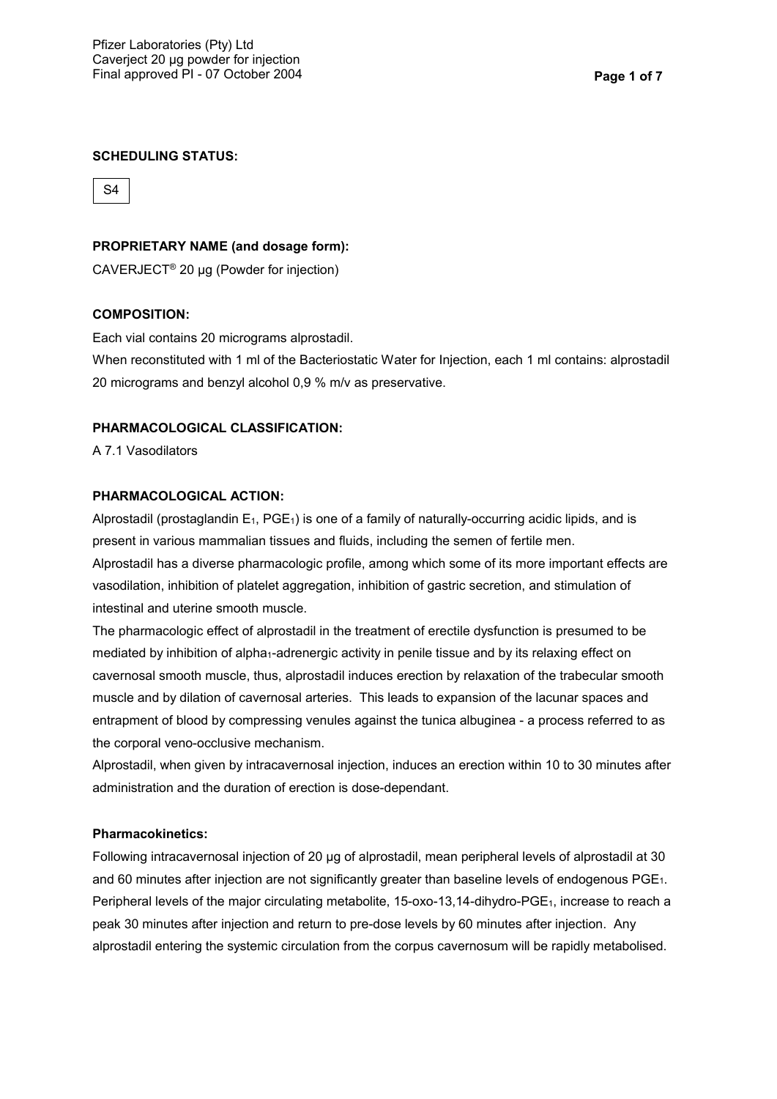#### **SCHEDULING STATUS:**

S4

### **PROPRIETARY NAME (and dosage form):**

CAVERJECT® 20 µg (Powder for injection)

#### **COMPOSITION:**

Each vial contains 20 micrograms alprostadil.

When reconstituted with 1 ml of the Bacteriostatic Water for Injection, each 1 ml contains: alprostadil 20 micrograms and benzyl alcohol 0,9 % m/v as preservative.

## **PHARMACOLOGICAL CLASSIFICATION:**

A 7.1 Vasodilators

### **PHARMACOLOGICAL ACTION:**

Alprostadil (prostaglandin  $E_1$ , PGE<sub>1</sub>) is one of a family of naturally-occurring acidic lipids, and is present in various mammalian tissues and fluids, including the semen of fertile men.

Alprostadil has a diverse pharmacologic profile, among which some of its more important effects are vasodilation, inhibition of platelet aggregation, inhibition of gastric secretion, and stimulation of intestinal and uterine smooth muscle.

The pharmacologic effect of alprostadil in the treatment of erectile dysfunction is presumed to be mediated by inhibition of alpha<sub>1</sub>-adrenergic activity in penile tissue and by its relaxing effect on cavernosal smooth muscle, thus, alprostadil induces erection by relaxation of the trabecular smooth muscle and by dilation of cavernosal arteries. This leads to expansion of the lacunar spaces and entrapment of blood by compressing venules against the tunica albuginea - a process referred to as the corporal veno-occlusive mechanism.

Alprostadil, when given by intracavernosal injection, induces an erection within 10 to 30 minutes after administration and the duration of erection is dose-dependant.

### **Pharmacokinetics:**

Following intracavernosal injection of 20 µg of alprostadil, mean peripheral levels of alprostadil at 30 and 60 minutes after injection are not significantly greater than baseline levels of endogenous PGE1. Peripheral levels of the major circulating metabolite, 15-oxo-13,14-dihydro-PGE<sub>1</sub>, increase to reach a peak 30 minutes after injection and return to pre-dose levels by 60 minutes after injection. Any alprostadil entering the systemic circulation from the corpus cavernosum will be rapidly metabolised.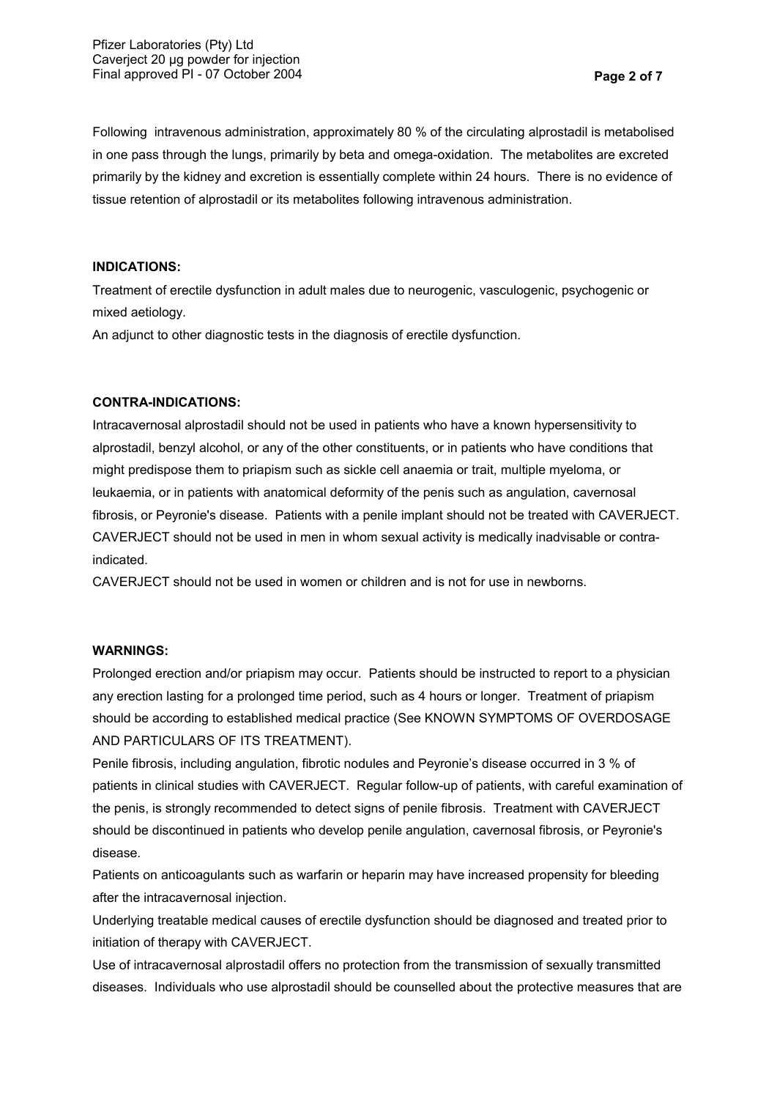Following intravenous administration, approximately 80 % of the circulating alprostadil is metabolised in one pass through the lungs, primarily by beta and omega-oxidation. The metabolites are excreted primarily by the kidney and excretion is essentially complete within 24 hours. There is no evidence of tissue retention of alprostadil or its metabolites following intravenous administration.

### **INDICATIONS:**

Treatment of erectile dysfunction in adult males due to neurogenic, vasculogenic, psychogenic or mixed aetiology.

An adjunct to other diagnostic tests in the diagnosis of erectile dysfunction.

## **CONTRA-INDICATIONS:**

Intracavernosal alprostadil should not be used in patients who have a known hypersensitivity to alprostadil, benzyl alcohol, or any of the other constituents, or in patients who have conditions that might predispose them to priapism such as sickle cell anaemia or trait, multiple myeloma, or leukaemia, or in patients with anatomical deformity of the penis such as angulation, cavernosal fibrosis, or Peyronie's disease. Patients with a penile implant should not be treated with CAVERJECT. CAVERJECT should not be used in men in whom sexual activity is medically inadvisable or contraindicated.

CAVERJECT should not be used in women or children and is not for use in newborns.

### **WARNINGS:**

Prolonged erection and/or priapism may occur. Patients should be instructed to report to a physician any erection lasting for a prolonged time period, such as 4 hours or longer. Treatment of priapism should be according to established medical practice (See KNOWN SYMPTOMS OF OVERDOSAGE AND PARTICULARS OF ITS TREATMENT).

Penile fibrosis, including angulation, fibrotic nodules and Peyronie's disease occurred in 3 % of patients in clinical studies with CAVERJECT. Regular follow-up of patients, with careful examination of the penis, is strongly recommended to detect signs of penile fibrosis. Treatment with CAVERJECT should be discontinued in patients who develop penile angulation, cavernosal fibrosis, or Peyronie's disease.

Patients on anticoagulants such as warfarin or heparin may have increased propensity for bleeding after the intracavernosal injection.

Underlying treatable medical causes of erectile dysfunction should be diagnosed and treated prior to initiation of therapy with CAVERJECT.

Use of intracavernosal alprostadil offers no protection from the transmission of sexually transmitted diseases. Individuals who use alprostadil should be counselled about the protective measures that are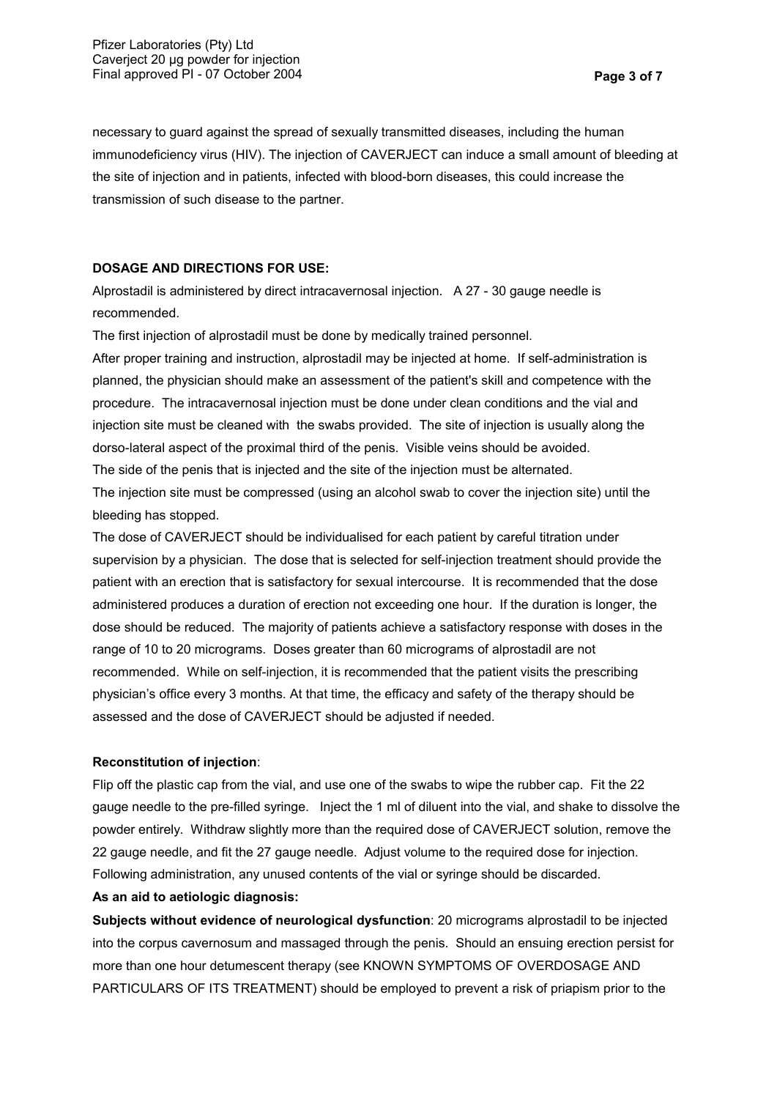necessary to guard against the spread of sexually transmitted diseases, including the human immunodeficiency virus (HIV). The injection of CAVERJECT can induce a small amount of bleeding at the site of injection and in patients, infected with blood-born diseases, this could increase the transmission of such disease to the partner.

## **DOSAGE AND DIRECTIONS FOR USE:**

Alprostadil is administered by direct intracavernosal injection. A 27 - 30 gauge needle is recommended.

The first injection of alprostadil must be done by medically trained personnel.

After proper training and instruction, alprostadil may be injected at home. If self-administration is planned, the physician should make an assessment of the patient's skill and competence with the procedure. The intracavernosal injection must be done under clean conditions and the vial and injection site must be cleaned with the swabs provided. The site of injection is usually along the dorso-lateral aspect of the proximal third of the penis. Visible veins should be avoided.

The side of the penis that is injected and the site of the injection must be alternated.

The injection site must be compressed (using an alcohol swab to cover the injection site) until the bleeding has stopped.

The dose of CAVERJECT should be individualised for each patient by careful titration under supervision by a physician. The dose that is selected for self-injection treatment should provide the patient with an erection that is satisfactory for sexual intercourse. It is recommended that the dose administered produces a duration of erection not exceeding one hour. If the duration is longer, the dose should be reduced. The majority of patients achieve a satisfactory response with doses in the range of 10 to 20 micrograms. Doses greater than 60 micrograms of alprostadil are not recommended. While on self-injection, it is recommended that the patient visits the prescribing physician's office every 3 months. At that time, the efficacy and safety of the therapy should be assessed and the dose of CAVERJECT should be adjusted if needed.

## **Reconstitution of injection**:

Flip off the plastic cap from the vial, and use one of the swabs to wipe the rubber cap. Fit the 22 gauge needle to the pre-filled syringe. Inject the 1 ml of diluent into the vial, and shake to dissolve the powder entirely. Withdraw slightly more than the required dose of CAVERJECT solution, remove the 22 gauge needle, and fit the 27 gauge needle. Adjust volume to the required dose for injection. Following administration, any unused contents of the vial or syringe should be discarded.

## **As an aid to aetiologic diagnosis:**

**Subjects without evidence of neurological dysfunction**: 20 micrograms alprostadil to be injected into the corpus cavernosum and massaged through the penis. Should an ensuing erection persist for more than one hour detumescent therapy (see KNOWN SYMPTOMS OF OVERDOSAGE AND PARTICULARS OF ITS TREATMENT) should be employed to prevent a risk of priapism prior to the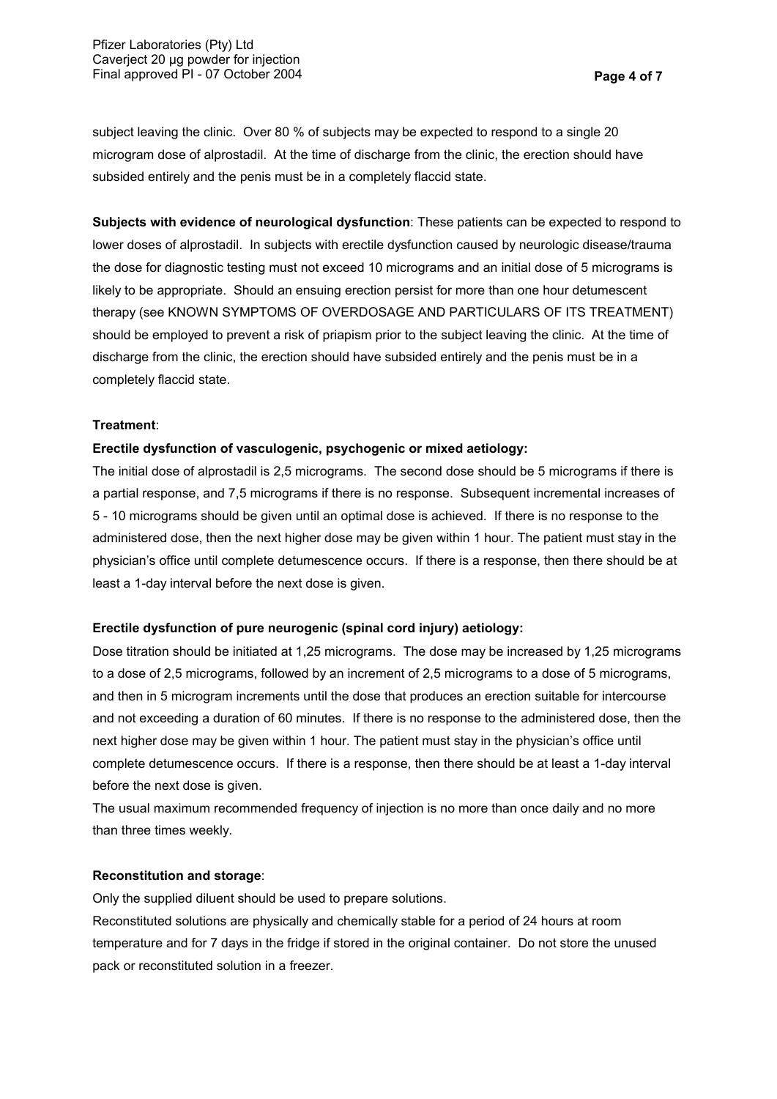subject leaving the clinic. Over 80 % of subjects may be expected to respond to a single 20 microgram dose of alprostadil. At the time of discharge from the clinic, the erection should have subsided entirely and the penis must be in a completely flaccid state.

**Subjects with evidence of neurological dysfunction**: These patients can be expected to respond to lower doses of alprostadil. In subjects with erectile dysfunction caused by neurologic disease/trauma the dose for diagnostic testing must not exceed 10 micrograms and an initial dose of 5 micrograms is likely to be appropriate. Should an ensuing erection persist for more than one hour detumescent therapy (see KNOWN SYMPTOMS OF OVERDOSAGE AND PARTICULARS OF ITS TREATMENT) should be employed to prevent a risk of priapism prior to the subject leaving the clinic. At the time of discharge from the clinic, the erection should have subsided entirely and the penis must be in a completely flaccid state.

### **Treatment**:

### **Erectile dysfunction of vasculogenic, psychogenic or mixed aetiology:**

The initial dose of alprostadil is 2,5 micrograms. The second dose should be 5 micrograms if there is a partial response, and 7,5 micrograms if there is no response. Subsequent incremental increases of 5 - 10 micrograms should be given until an optimal dose is achieved. If there is no response to the administered dose, then the next higher dose may be given within 1 hour. The patient must stay in the physician's office until complete detumescence occurs. If there is a response, then there should be at least a 1-day interval before the next dose is given.

## **Erectile dysfunction of pure neurogenic (spinal cord injury) aetiology:**

Dose titration should be initiated at 1,25 micrograms. The dose may be increased by 1,25 micrograms to a dose of 2,5 micrograms, followed by an increment of 2,5 micrograms to a dose of 5 micrograms, and then in 5 microgram increments until the dose that produces an erection suitable for intercourse and not exceeding a duration of 60 minutes. If there is no response to the administered dose, then the next higher dose may be given within 1 hour. The patient must stay in the physician's office until complete detumescence occurs. If there is a response, then there should be at least a 1-day interval before the next dose is given.

The usual maximum recommended frequency of injection is no more than once daily and no more than three times weekly.

#### **Reconstitution and storage**:

Only the supplied diluent should be used to prepare solutions.

Reconstituted solutions are physically and chemically stable for a period of 24 hours at room temperature and for 7 days in the fridge if stored in the original container. Do not store the unused pack or reconstituted solution in a freezer.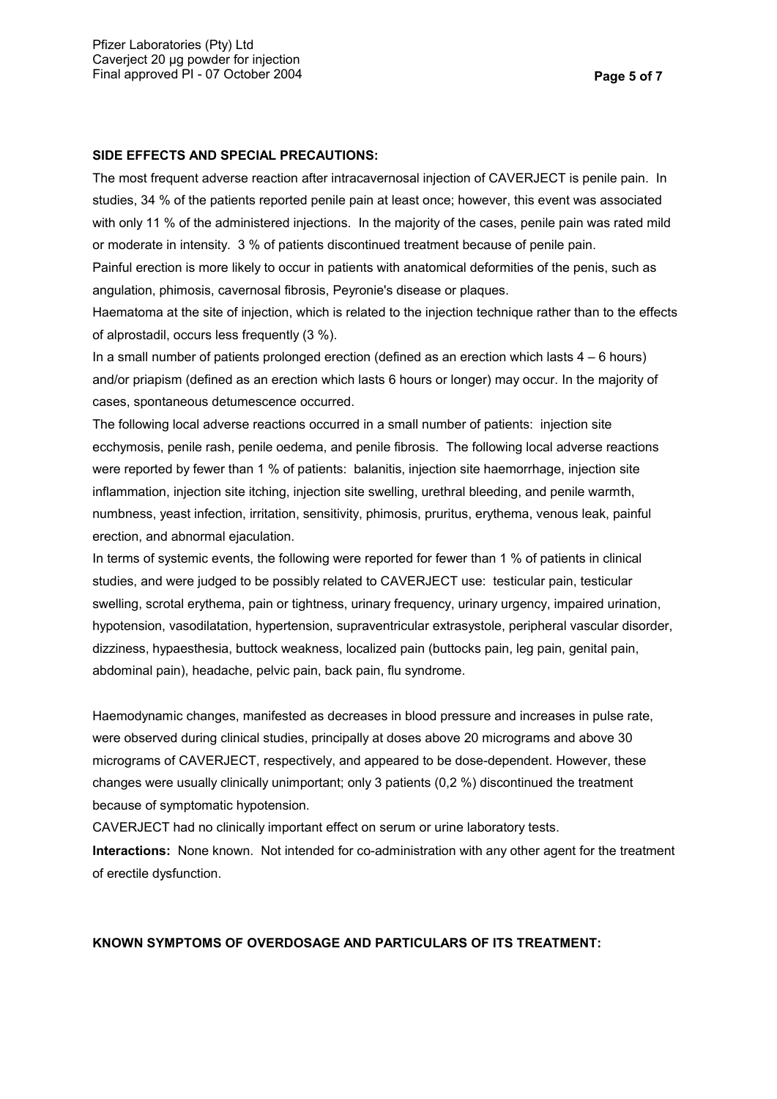# **SIDE EFFECTS AND SPECIAL PRECAUTIONS:**

The most frequent adverse reaction after intracavernosal injection of CAVERJECT is penile pain. In studies, 34 % of the patients reported penile pain at least once; however, this event was associated with only 11 % of the administered injections. In the majority of the cases, penile pain was rated mild or moderate in intensity. 3 % of patients discontinued treatment because of penile pain.

Painful erection is more likely to occur in patients with anatomical deformities of the penis, such as angulation, phimosis, cavernosal fibrosis, Peyronie's disease or plaques.

Haematoma at the site of injection, which is related to the injection technique rather than to the effects of alprostadil, occurs less frequently (3 %).

In a small number of patients prolonged erection (defined as an erection which lasts  $4 - 6$  hours) and/or priapism (defined as an erection which lasts 6 hours or longer) may occur. In the majority of cases, spontaneous detumescence occurred.

The following local adverse reactions occurred in a small number of patients: injection site ecchymosis, penile rash, penile oedema, and penile fibrosis. The following local adverse reactions were reported by fewer than 1 % of patients: balanitis, injection site haemorrhage, injection site inflammation, injection site itching, injection site swelling, urethral bleeding, and penile warmth, numbness, yeast infection, irritation, sensitivity, phimosis, pruritus, erythema, venous leak, painful erection, and abnormal ejaculation.

In terms of systemic events, the following were reported for fewer than 1 % of patients in clinical studies, and were judged to be possibly related to CAVERJECT use: testicular pain, testicular swelling, scrotal erythema, pain or tightness, urinary frequency, urinary urgency, impaired urination, hypotension, vasodilatation, hypertension, supraventricular extrasystole, peripheral vascular disorder, dizziness, hypaesthesia, buttock weakness, localized pain (buttocks pain, leg pain, genital pain, abdominal pain), headache, pelvic pain, back pain, flu syndrome.

Haemodynamic changes, manifested as decreases in blood pressure and increases in pulse rate, were observed during clinical studies, principally at doses above 20 micrograms and above 30 micrograms of CAVERJECT, respectively, and appeared to be dose-dependent. However, these changes were usually clinically unimportant; only 3 patients (0,2 %) discontinued the treatment because of symptomatic hypotension.

CAVERJECT had no clinically important effect on serum or urine laboratory tests.

**Interactions:** None known. Not intended for co-administration with any other agent for the treatment of erectile dysfunction.

## **KNOWN SYMPTOMS OF OVERDOSAGE AND PARTICULARS OF ITS TREATMENT:**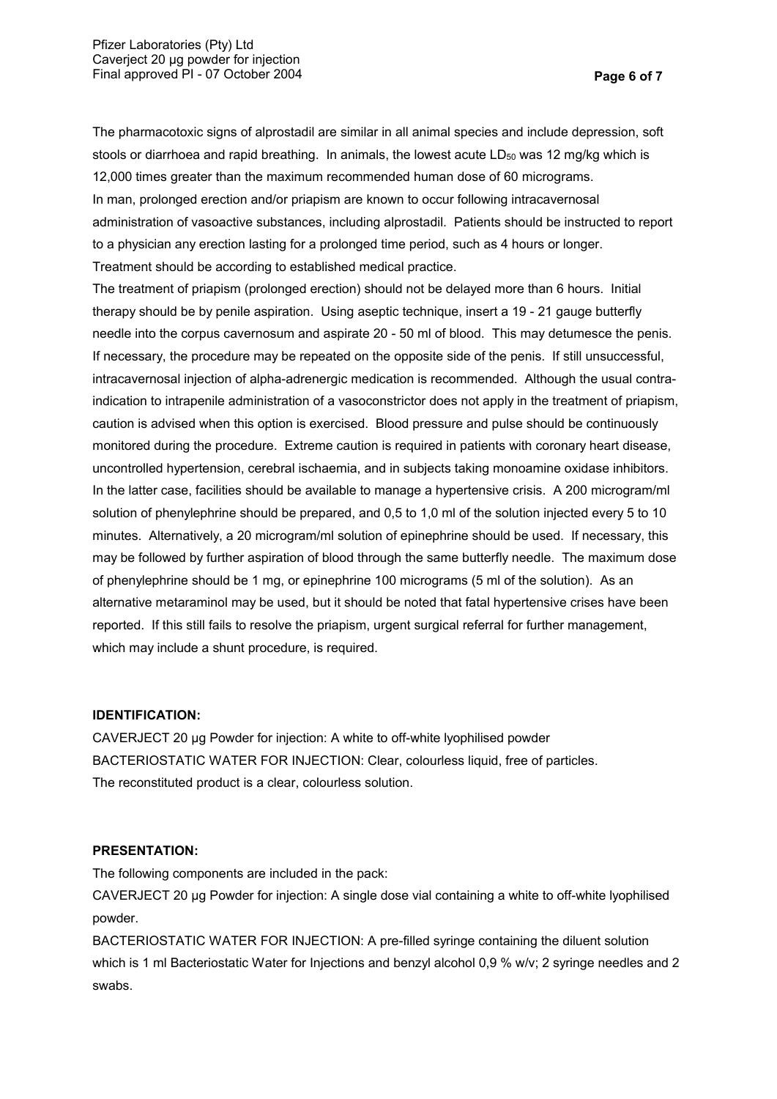The pharmacotoxic signs of alprostadil are similar in all animal species and include depression, soft stools or diarrhoea and rapid breathing. In animals, the lowest acute  $LD_{50}$  was 12 mg/kg which is 12,000 times greater than the maximum recommended human dose of 60 micrograms. In man, prolonged erection and/or priapism are known to occur following intracavernosal administration of vasoactive substances, including alprostadil. Patients should be instructed to report to a physician any erection lasting for a prolonged time period, such as 4 hours or longer. Treatment should be according to established medical practice.

The treatment of priapism (prolonged erection) should not be delayed more than 6 hours. Initial therapy should be by penile aspiration. Using aseptic technique, insert a 19 - 21 gauge butterfly needle into the corpus cavernosum and aspirate 20 - 50 ml of blood. This may detumesce the penis. If necessary, the procedure may be repeated on the opposite side of the penis. If still unsuccessful, intracavernosal injection of alpha-adrenergic medication is recommended. Although the usual contraindication to intrapenile administration of a vasoconstrictor does not apply in the treatment of priapism, caution is advised when this option is exercised. Blood pressure and pulse should be continuously monitored during the procedure. Extreme caution is required in patients with coronary heart disease, uncontrolled hypertension, cerebral ischaemia, and in subjects taking monoamine oxidase inhibitors. In the latter case, facilities should be available to manage a hypertensive crisis. A 200 microgram/ml solution of phenylephrine should be prepared, and 0,5 to 1,0 ml of the solution injected every 5 to 10 minutes. Alternatively, a 20 microgram/ml solution of epinephrine should be used. If necessary, this may be followed by further aspiration of blood through the same butterfly needle. The maximum dose of phenylephrine should be 1 mg, or epinephrine 100 micrograms (5 ml of the solution). As an alternative metaraminol may be used, but it should be noted that fatal hypertensive crises have been reported. If this still fails to resolve the priapism, urgent surgical referral for further management, which may include a shunt procedure, is required.

## **IDENTIFICATION:**

CAVERJECT 20 µg Powder for injection: A white to off-white lyophilised powder BACTERIOSTATIC WATER FOR INJECTION: Clear, colourless liquid, free of particles. The reconstituted product is a clear, colourless solution.

## **PRESENTATION:**

The following components are included in the pack:

CAVERJECT 20 µg Powder for injection: A single dose vial containing a white to off-white lyophilised powder.

BACTERIOSTATIC WATER FOR INJECTION: A pre-filled syringe containing the diluent solution which is 1 ml Bacteriostatic Water for Injections and benzyl alcohol 0,9 % w/v; 2 syringe needles and 2 swabs.